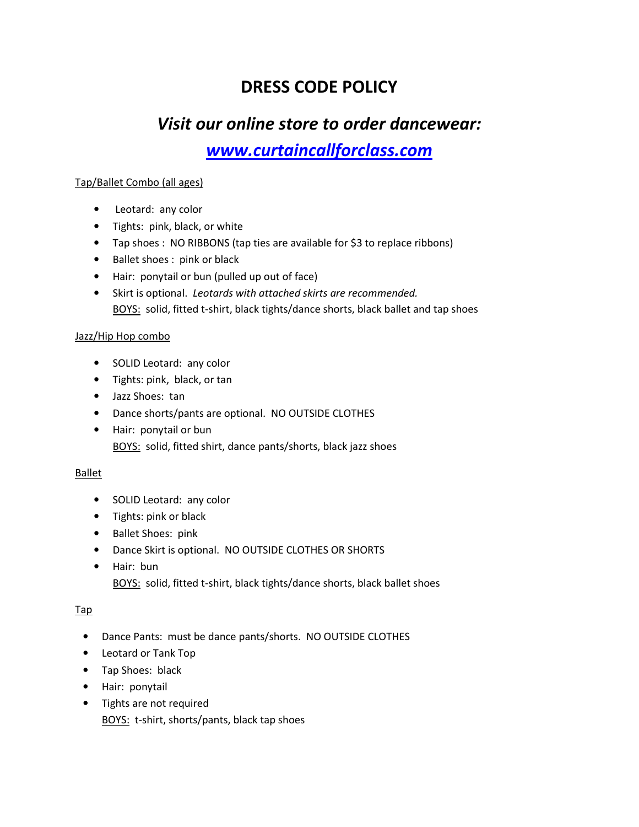# **DRESS CODE POLICY**

# *Visit our online store to order dancewear:*

*www.curtaincallforclass.com*

## Tap/Ballet Combo (all ages)

- Leotard: any color
- Tights: pink, black, or white
- Tap shoes : NO RIBBONS (tap ties are available for \$3 to replace ribbons)
- Ballet shoes : pink or black
- Hair: ponytail or bun (pulled up out of face)
- Skirt is optional. *Leotards with attached skirts are recommended.* BOYS:solid, fitted t-shirt, black tights/dance shorts, black ballet and tap shoes

### Jazz/Hip Hop combo

- SOLID Leotard: any color
- Tights: pink, black, or tan
- Jazz Shoes: tan
- Dance shorts/pants are optional. NO OUTSIDE CLOTHES
- Hair: ponytail or bun BOYS: solid, fitted shirt, dance pants/shorts, black jazz shoes

#### Ballet

- SOLID Leotard: any color
- Tights: pink or black
- Ballet Shoes: pink
- Dance Skirt is optional. NO OUTSIDE CLOTHES OR SHORTS
- Hair: bun BOYS: solid, fitted t-shirt, black tights/dance shorts, black ballet shoes

## Tap

- Dance Pants: must be dance pants/shorts. NO OUTSIDE CLOTHES
- Leotard or Tank Top
- Tap Shoes: black
- Hair: ponytail
- Tights are not required BOYS: t-shirt, shorts/pants, black tap shoes